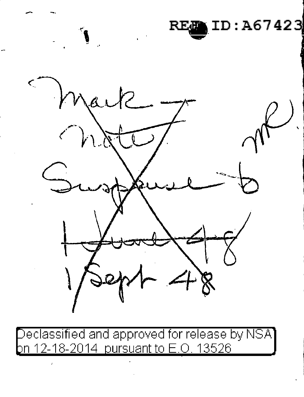$D: A67423$ 

eclassified and approved for release by NSA 12-18-2014 pursuant to E.O. 13526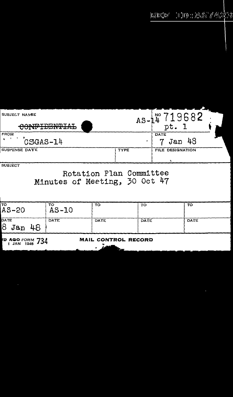## EXECRT HID : ACT / 4223

| SUBJECT NAME<br><u>AAATOTATUT AT</u><br>UUNTIDDIIIIID | $AS -$      | NO<br>pt.           |
|-------------------------------------------------------|-------------|---------------------|
| <b>FROM</b><br>CSGAS-14                               |             | DATE<br>Jan 48<br>7 |
| SUSPENSE DATE                                         | <b>TYPE</b> | FILE DESIGNATION    |
| <b>SUBJECT</b>                                        |             |                     |

## Rotation Plan Committee<br>Minutes of Meeting, 30 Oct 47

| TO<br>$AS-20$                                     | то<br>$AS-IO$ | TO          | TO   | то   |  |  |
|---------------------------------------------------|---------------|-------------|------|------|--|--|
| DATE<br>Ι8<br>-48<br>Jan                          | <b>DATE</b>   | <b>DATE</b> | DATE | DATE |  |  |
| MAIL CONTROL RECORD<br><b>PD AGO</b> FORM 734<br> |               |             |      |      |  |  |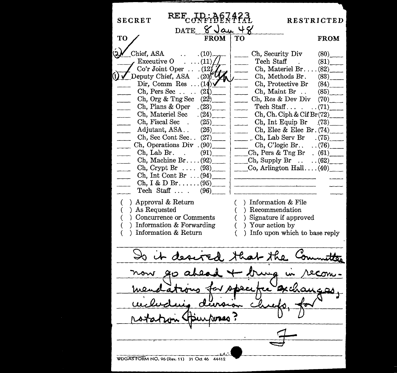SECRET REF<sub>CONFIDENTIAL RESTRICTED</sub> DATE  $\frac{8 \text{Jau}}{\text{FROM}}$  TO TO FROM TO FROM Chief, ASA ...  $(10)$ <br> *Executive O* ...  $(11)$ Executive 0 ... (11) Tech Staff (81) \_\_ *.--J'* Co'r Joint Oper . . Ch, Materiel Br .... (82) \_\_ Co'r Joint Oper . . . (12)<br>Deputy Chief, ASA . (20  $\frac{Q_0}{Q_1}$  . . . . (82) Ch, Methods Br. (83)<br>Dir, Comm Res . . . (14) Ch, Protective Br (84) Dir, Comm Res ...  $(14)\sqrt{ }$  Ch, Protective Br (84)<br>Ch, Pers Sec ...  $(21)$  Ch, Maint Br .. (85) Ch, Pers Sec . . . . (2 )\_\_ \_\_ Ch, Maint Br . . (85) \_\_  $\begin{array}{c|c}\n(22) & \text{Ch, Res & Dev Div} \\
(23) & \text{Techn } \text{Staff. . . . . . . (71)}\n\end{array}$ Ch, Plans & Oper .  $(23)$ <br>Ch, Materiel Sec .  $(24)$ Ch, Materiel Sec  $(24)$  Ch, Ch. Ciph & Cif Br(72)<br>Ch, Fiscal Sec  $(25)$  Ch, Int Equip Br (73) Ch, Fiscal Sec .  $(25)$  . Ch, Int Equip Br .(73)<br>Adjutant, ASA..  $(26)$  Ch, Elec & Elec Br. (74) Ch, Elec & Elec Br.  $(74)$ <sub>Ch</sub>, Lab Serv Br.  $(75)$ <sup>75</sup> Ch, Sec Cont Sec. . (27)\_\_ \_ \_\_ Ch, Lab Serv Br . (75) \_\_ \_\_ Ch, Operations Div . (90)\_ \_ Ch, C'logic Br. . . . (76) \_\_ Ch, Pers & Tng Br.  $(61)$ <br>Ch, Supply Br.  $(62)$ Ch, Machine Br. . . .  $(92)$ <br>Ch, Crypt Br . . . .  $(93)$ Co, Arlington Hall ....  $(40)$ Ch, Int Cont Br ... (94)\_ Ch, I & D Br....... (95)<br>Tech Staff.... (96) Tech Staff  $\dots$ . ( ) Approval & Return ( ) Information & File ( ) As Requested Recommendation ( ) Concurrence or Comments Signature if approved Information & Forwarding Your action by Information & Return Info upon which to base reply Is it desired that the  $\overline{\overline{}}$ WDGASFORM NO. 96 (Rev. 11) 31 Oct 46 44412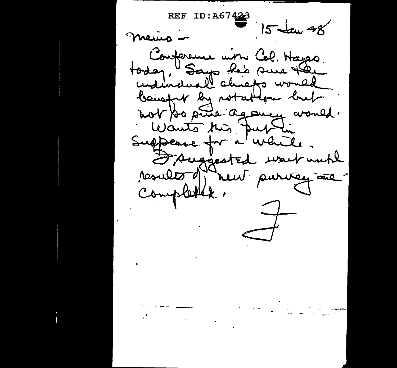REF **ID:A6**  $15$  taw 48 merico -Conforeme win Col. Hayes today, Says has sure the beingt by notation but not to suite agoncy would. Wants this public Suppease for a while. FAuggested wart until results d'heut purvey au  $\frac{1}{2}$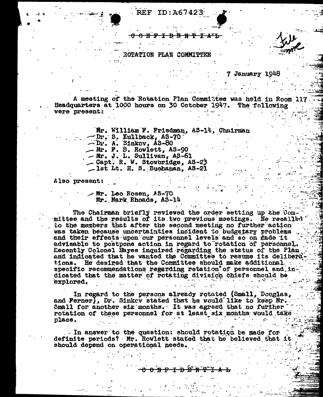**REF ID: A67423** 

OTATION PLAN COMMITT

## 7 January 1948

A meeting of the Rotation Plan Committee was held in Room 117 Headquarters at 1000 hours on 30 October 1947. The following were present:

> Mr. Williem F. Friedman, AS-14, Chairman Dr. S. Kullback, AS-70 - Mr. F. B. Rowlett, AS-90 - Mr. J. L. Sullivan, AS-61<br>- Capt. R. W. Stowbridge, AS-23

-lst Lt. H. S. Buchanan, AS-21

Also present:

 $\sim$  Mr. Leo Rosen, AS-70 Nr. Nark Rhoads. AS-14

The Chairman briefly reviewed the order setting up the Committee and the results of its two previous meetings. He recalled to the members that after the second meeting no further action was taken because uncertainties incident to budgetary problems and their effects upon our personnel levels and so on made it advisable to postpone action in regard to rotation of personnel. Recently Colonel Rayes inquired regarding the status of the Plan and indicated that he wanted the Committee to resume its deliberations. He desired that the Committee should make additional. specific recommendations regarding retation of personnel and indicated that the matter of rotating division chiefs should be explored.

In regard to the persons already rotated (Small, Douglas, and Perner), Dr. Sinkev stated that he would like to keep Mr. Small for enother six months. It was agreed that no further rotation of these personnel for at least six months would take place.

- In answer to the question: should rotation be made for definite periods? Mr. Rowlett stated that he believed that it should depend on operational needs.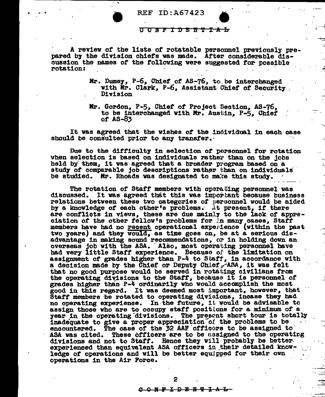

 $\cdot$   $\cdot$ 

REF ID:A67423 REF ID:A67423<br>C C N F I D E N T

- - --;:

~·

....

A review of the lists of rotatable personnel previously pre-<br>pared by the division chiefs was made. After considerable discussion the names of the following were suggested for possible rotation:

- Mr. Dumey, P-6, Chief of AS-76, to be interchanged with Mr. Clark, P-6, Assistant Chief of Security .<br>Division
- Mr. Gordon, P-5, Chief of Project Section, AS-76, to be interchanged with Mr. Austin, P-5, Chief or AS-83

It vas agreed that the wishes *ot* the 1no1vidual 1n each case should be consulted prior to any transfer.

Due to the difficulty in selection of personnel for rotation when selection is based on individuals rather than on the jobs held by them, it was agreed that a broader program based on a study of comparable job descriptions rather  $~$ than on individuals be studied. Mr. Rhoads was designated to make this study.

The rotation of Staff members with operating personnel was discussed. It was agreed that this was immortant because business relations between these two categories of personnel would be aided by a knowledge of each other's problems. At present, if there are conflicts in views, these are due mainly to the lack of appre-<br>ciation of the other fellow's problems for ..n many cases, Staff members have had no recent operational experience (within the past two years) and they would, as time goes on, be at a serious disadvantage in making sound recommendations, or in holding down an overseas job vith the ASA. ·Also, most operating personnel have bad very little Start experience. Becauao of the limitation on assignment of grades higher than P-4 to Staff, in accordance with a decision made by the Chief or Deputy Chlef  $\mathbf{r}$  ASA, it was felt that no good purpose would be served in rotating civilians from the operating divisions to the Staff, because it is personnel of grades higher than P-4 ord1naril7 vho would accomplish the most good in this regard. It was deemed most important, however, that Staff members be rotated to operating divisions, incase they had no operating experience. In the future, it would be advisable to assign those who are to occupy staff positions for a minimum of a year in the operating divisions. The present short tour is totally inadequate to give a proper appreciation of the problems to be<br>encountered. The case of the 32 AAF officers to be assigned to<br>ASA was cited. These officers are to be *assigned* to the operating ASA was cited. These officers are to be ussigned to the operating divisions and not to Staff. Hence they will probably be better. experienced than equivalent ASA officers in their detailed knowledge of operations and will be better equipped for their own operations in the Air Force.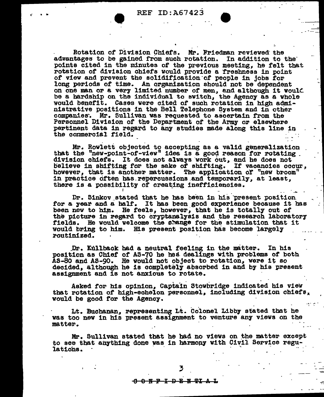Rotation of Division Chiefs. Mr. Friedman reviewed the advantages to be gained from such rotation. In addition to the points cited in the minutes of the previous meeting, he felt that rotation of division chiefs would provide a freshness in point of view and prevent the solidification of people in jobs for long periods of time. An organization should not be dependent on one man or a very limited number of men, and although it would be a hardship on the individual to switch, the Agency as a whole would benefit. Cases were cited of such rotation in high administrative positions in the Bell Telephone System and in other companies. Mr. Sullivan was requested to ascertain from the Personnel Division of the Department of the Army or elsewhere pertinent data in regard to any studies made along this line in the commercial field.

Mr. Rowlett objected to accepting as a valid generalization that the "new-point-of-view" idea is a good reason for rotating. division chiefs. It does not always work out, and he does not believe in shifting for the sake of shifting. If vacancies occur, however, that is another matter. The application of "new broom" in practice often has repercussions and temporarily, at least, there is a possibility of creating inefficiencies.

Dr. Sinkov stated that he has been in his present position for a year and a half. It has been good experience because it has been new to him. He feels, however, that he is totally out of the picture in regard to cryptanalysis and the research laboratory fields. He would welcome the change for the stimulation that it would bring to him. His present position has become largely routinized.

Dr. Kullback had a neutral feeling in the matter. In his position as Chief of AS-70 he has dealings with problems of both AS-80 and AS-90. He would not object to rotation, were it so decided, although he is completely absorbed in and by his present assignment and is not anxious to rotate.

Asked for his opinion, Captain Stowbridge indicated his view that rotation of high-echelon personnel, including division chiefs, would be good for the Agency.

 $\mathcal{L} \subset \mathcal{L}$ 

Lt. Buchanan, representing Lt. Colonel Libby stated that he was too new in his present assignment to venture any views on the matter.

Mr. Sullivan stated that he had no views on the matter except to see that anything done was in harmony with Civil Service regulations.

0 N P I D B N PI A